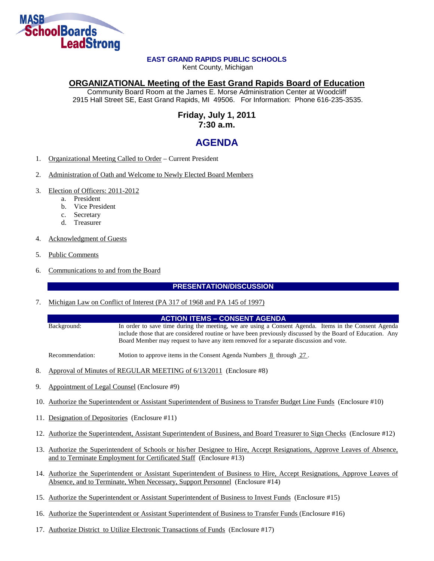

# **EAST GRAND RAPIDS PUBLIC SCHOOLS**

Kent County, Michigan

# **ORGANIZATIONAL Meeting of the East Grand Rapids Board of Education**

Community Board Room at the James E. Morse Administration Center at Woodcliff 2915 Hall Street SE, East Grand Rapids, MI 49506. For Information: Phone 616-235-3535.

# **Friday, July 1, 2011 7:30 a.m.**

# **AGENDA**

- 1. Organizational Meeting Called to Order Current President
- 2. Administration of Oath and Welcome to Newly Elected Board Members
- 3. Election of Officers: 2011-2012
	- a. President
	- b. Vice President
	- c. Secretary
	- d. Treasurer
- 4. Acknowledgment of Guests
- 5. Public Comments
- 6. Communications to and from the Board

# **PRESENTATION/DISCUSSION**

7. Michigan Law on Conflict of Interest (PA 317 of 1968 and PA 145 of 1997)

#### **ACTION ITEMS – CONSENT AGENDA**

Background: In order to save time during the meeting, we are using a Consent Agenda. Items in the Consent Agenda include those that are considered routine or have been previously discussed by the Board of Education. Any Board Member may request to have any item removed for a separate discussion and vote.

Recommendation: Motion to approve items in the Consent Agenda Numbers 8 through 27.

- 8. Approval of Minutes of REGULAR MEETING of 6/13/2011 (Enclosure #8)
- 9. Appointment of Legal Counsel (Enclosure #9)
- 10. Authorize the Superintendent or Assistant Superintendent of Business to Transfer Budget Line Funds (Enclosure #10)
- 11. Designation of Depositories (Enclosure #11)
- 12. Authorize the Superintendent, Assistant Superintendent of Business, and Board Treasurer to Sign Checks (Enclosure #12)
- 13. Authorize the Superintendent of Schools or his/her Designee to Hire, Accept Resignations, Approve Leaves of Absence, and to Terminate Employment for Certificated Staff (Enclosure #13)
- 14. Authorize the Superintendent or Assistant Superintendent of Business to Hire, Accept Resignations, Approve Leaves of Absence, and to Terminate, When Necessary, Support Personnel (Enclosure #14)
- 15. Authorize the Superintendent or Assistant Superintendent of Business to Invest Funds (Enclosure #15)
- 16. Authorize the Superintendent or Assistant Superintendent of Business to Transfer Funds (Enclosure #16)
- 17. Authorize District to Utilize Electronic Transactions of Funds (Enclosure #17)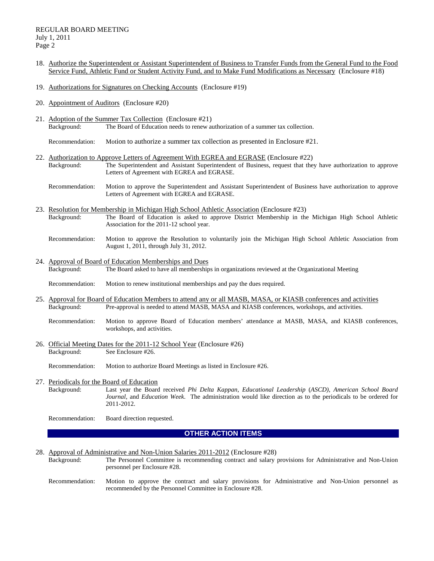#### REGULAR BOARD MEETING July 1, 2011 Page 2

- 18. Authorize the Superintendent or Assistant Superintendent of Business to Transfer Funds from the General Fund to the Food Service Fund, Athletic Fund or Student Activity Fund, and to Make Fund Modifications as Necessary (Enclosure #18)
- 19. Authorizations for Signatures on Checking Accounts (Enclosure #19)
- 20. Appointment of Auditors (Enclosure #20)
- 21. Adoption of the Summer Tax Collection (Enclosure #21) Background: The Board of Education needs to renew authorization of a summer tax collection.
	- Recommendation: Motion to authorize a summer tax collection as presented in Enclosure #21.
- 22. Authorization to Approve Letters of Agreement With EGREA and EGRASE (Enclosure #22) Background: The Superintendent and Assistant Superintendent of Business, request that they have authorization to approve Letters of Agreement with EGREA and EGRASE.
	- Recommendation: Motion to approve the Superintendent and Assistant Superintendent of Business have authorization to approve Letters of Agreement with EGREA and EGRASE.
- 23. Resolution for Membership in Michigan High School Athletic Association (Enclosure #23) Background: The Board of Education is asked to approve District Membership in the Michigan High School Athletic Association for the 2011-12 school year.
	- Recommendation: Motion to approve the Resolution to voluntarily join the Michigan High School Athletic Association from August 1, 2011, through July 31, 2012.
- 24. Approval of Board of Education Memberships and Dues Background: The Board asked to have all memberships in organizations reviewed at the Organizational Meeting
	- Recommendation: Motion to renew institutional memberships and pay the dues required.
- 25. Approval for Board of Education Members to attend any or all MASB, MASA, or KIASB conferences and activities Background: Pre-approval is needed to attend MASB, MASA and KIASB conferences, workshops, and activities.
	- Recommendation: Motion to approve Board of Education members' attendance at MASB, MASA, and KIASB conferences, workshops, and activities.
- 26. Official Meeting Dates for the 2011-12 School Year (Enclosure #26) Background: See Enclosure #26.
	- Recommendation: Motion to authorize Board Meetings as listed in Enclosure #26.
- 27. Periodicals for the Board of Education<br>Background: Last year the Board

Background: Last year the Board received *Phi Delta Kappan*, *Educational Leadership* (*ASCD)*, *American School Board Journal*, and *Education Week*. The administration would like direction as to the periodicals to be ordered for 2011-2012.

Recommendation: Board direction requested.

#### **OTHER ACTION ITEMS**

28. Approval of Administrative and Non-Union Salaries 2011-2012 (Enclosure #28)

Background: The Personnel Committee is recommending contract and salary provisions for Administrative and Non-Union personnel per Enclosure #28.

Recommendation: Motion to approve the contract and salary provisions for Administrative and Non-Union personnel as recommended by the Personnel Committee in Enclosure #28.